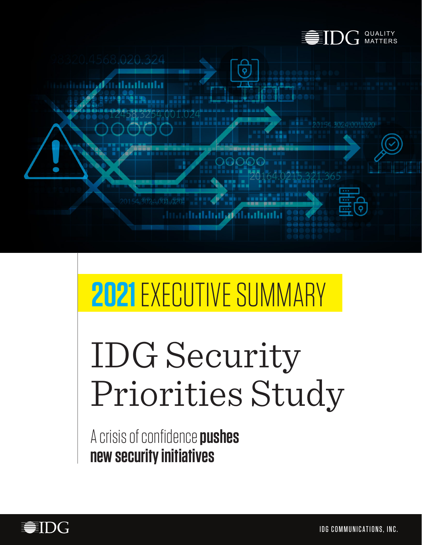

# 020.324

# atalah kalendarian la

# **2021** EXECUTIVE SUMMARY

# IDG Security Priorities Study

A crisis of confidence **pushes new security initiatives**

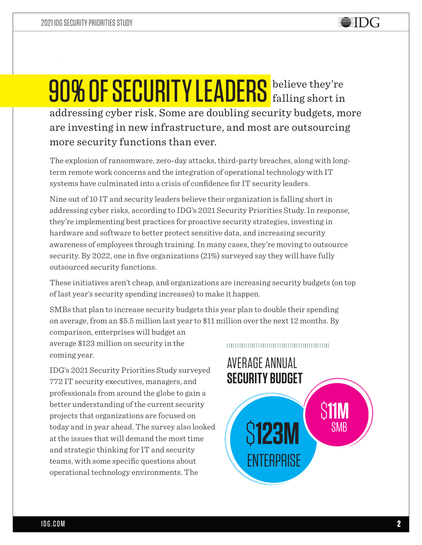# 90% OF SECURITY LEADERS believe they're falling short in addressing cyber risk. Some are doubling security budgets, more are investing in new infrastructure, and most are outsourcing more security functions than ever.

The explosion of ransomware, zero-day attacks, third-party breaches, along with longterm remote work concerns and the integration of operational technology with IT systems have culminated into a crisis of confidence for IT security leaders.

Nine out of 10 IT and security leaders believe their organization is falling short in addressing cyber risks, according to IDG's 2021 Security Priorities Study. In response, they're implementing best practices for proactive security strategies, investing in hardware and software to better protect sensitive data, and increasing security awareness of employees through training. In many cases, they're moving to outsource security. By 2022, one in five organizations (21%) surveyed say they will have fully outsourced security functions.

These initiatives aren't cheap, and organizations are increasing security budgets (on top of last year's security spending increases) to make it happen.

SMBs that plan to increase security budgets this year plan to double their spending on average, from an \$5.5 million last year to \$11 million over the next 12 months. By

comparison, enterprises will budget an average \$123 million on security in the coming year.

IDG's 2021 Security Priorities Study surveyed 772 IT security executives, managers, and professionals from around the globe to gain a better understanding of the current security projects that organizations are focused on today and in year ahead. The survey also looked at the issues that will demand the most time and strategic thinking for IT and security teams, with some specific questions about operational technology environments. The

#### 

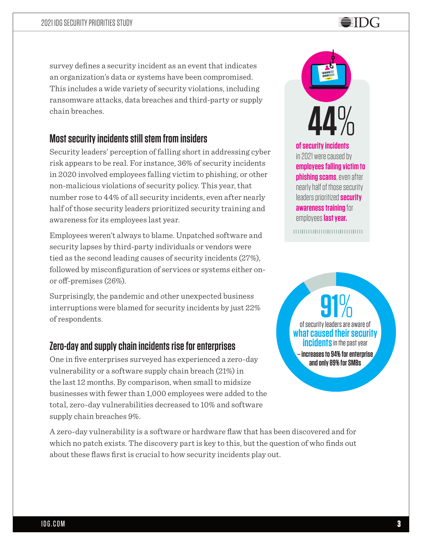## survey defines a security incident as an event that indicates an organization's data or systems have been compromised. This includes a wide variety of security violations, including ransomware attacks, data breaches and third-party or supply chain breaches.

# **Most security incidents still stem from insiders**

Security leaders' perception of falling short in addressing cyber risk appears to be real. For instance, 36% of security incidents in 2020 involved employees falling victim to phishing, or other non-malicious violations of security policy. This year, that number rose to 44% of all security incidents, even after nearly half of those security leaders prioritized security training and awareness for its employees last year.

Employees weren't always to blame. Unpatched software and security lapses by third-party individuals or vendors were tied as the second leading causes of security incidents (27%), followed by misconfiguration of services or systems either onor off-premises (26%).

Surprisingly, the pandemic and other unexpected business interruptions were blamed for security incidents by just 22% of respondents.

# **Zero-day and supply chain incidents rise for enterprises**

One in five enterprises surveyed has experienced a zero-day vulnerability or a software supply chain breach (21%) in the last 12 months. By comparison, when small to midsize businesses with fewer than 1,000 employees were added to the total, zero-day vulnerabilities decreased to 10% and software supply chain breaches 9%.

A zero-day vulnerability is a software or hardware flaw that has been discovered and for which no patch exists. The discovery part is key to this, but the question of who finds out about these flaws first is crucial to how security incidents play out.



**of security incidents** in 2021 were caused by **employees falling victim to phishing scams**, even after nearly half of those security leaders prioritized **security awareness training** for employees **last year.**

,,,,,,,,,,,,,,,,,,,,,,,,,,,,,,,,

of security leaders are aware of **what caused their security incidents** in the past year **– increases to 94% for enterprise and only 89% for SMBs 91**%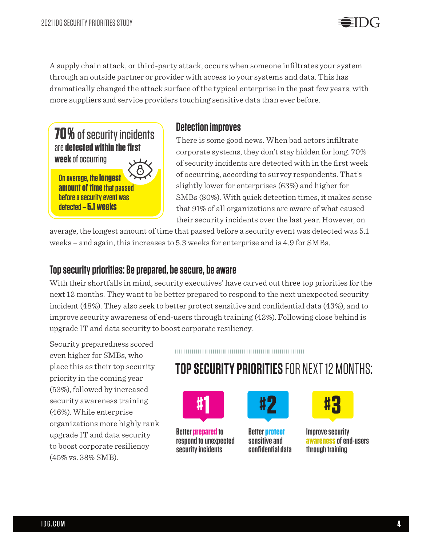A supply chain attack, or third-party attack, occurs when someone infiltrates your system through an outside partner or provider with access to your systems and data. This has dramatically changed the attack surface of the typical enterprise in the past few years, with more suppliers and service providers touching sensitive data than ever before.

**70%** of security incidents are **detected within the first week** of occurring

**On average, the longest amount of time that passed before a security event was detected – 5.1 weeks**

# **Detection improves**

There is some good news. When bad actors infiltrate corporate systems, they don't stay hidden for long. 70% of security incidents are detected with in the first week of occurring, according to survey respondents. That's slightly lower for enterprises (63%) and higher for SMBs (80%). With quick detection times, it makes sense that 91% of all organizations are aware of what caused their security incidents over the last year. However, on

average, the longest amount of time that passed before a security event was detected was 5.1 weeks – and again, this increases to 5.3 weeks for enterprise and is 4.9 for SMBs.

## **Top security priorities: Be prepared, be secure, be aware**

With their shortfalls in mind, security executives' have carved out three top priorities for the next 12 months. They want to be better prepared to respond to the next unexpected security incident (48%). They also seek to better protect sensitive and confidential data (43%), and to improve security awareness of end-users through training (42%). Following close behind is upgrade IT and data security to boost corporate resiliency.

Security preparedness scored even higher for SMBs, who place this as their top security priority in the coming year (53%), followed by increased security awareness training (46%). While enterprise organizations more highly rank upgrade IT and data security to boost corporate resiliency (45% vs. 38% SMB).

#### 

# **TOP SECURITY PRIORITIES** FOR NEXT 12 MONTHS:



**Better prepared to respond to unexpected security incidents**



**Better protect sensitive and confidential data**



EII)( <del>,</del>

**Improve security awareness of end-users through training**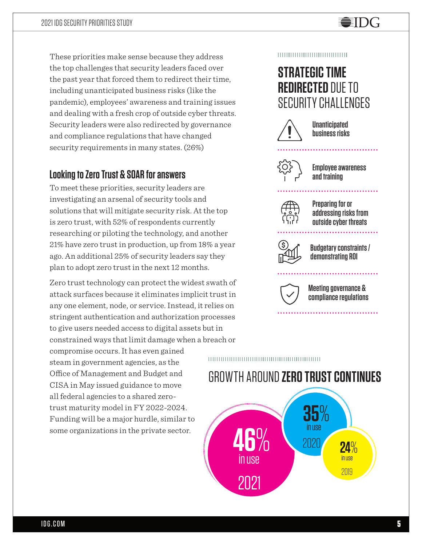# These priorities make sense because they address the top challenges that security leaders faced over the past year that forced them to redirect their time, including unanticipated business risks (like the pandemic), employees' awareness and training issues and dealing with a fresh crop of outside cyber threats. Security leaders were also redirected by governance and compliance regulations that have changed security requirements in many states. (26%)

# **Looking to Zero Trust & SOAR for answers**

To meet these priorities, security leaders are investigating an arsenal of security tools and solutions that will mitigate security risk. At the top is zero trust, with 52% of respondents currently researching or piloting the technology, and another 21% have zero trust in production, up from 18% a year ago. An additional 25% of security leaders say they plan to adopt zero trust in the next 12 months.

Zero trust technology can protect the widest swath of attack surfaces because it eliminates implicit trust in any one element, node, or service. Instead, it relies on stringent authentication and authorization processes to give users needed access to digital assets but in constrained ways that limit damage when a breach or

compromise occurs. It has even gained steam in government agencies, as the Office of Management and Budget and CISA in May issued guidance to move all federal agencies to a shared zerotrust maturity model in FY 2022-2024. Funding will be a major hurdle, similar to some organizations in the private sector.

#### $\begin{minipage}{.4\linewidth} \begin{tabular}{l} \hline \textbf{0} & \textbf{0} & \textbf{0} & \textbf{0} & \textbf{0} & \textbf{0} & \textbf{0} & \textbf{0} & \textbf{0} & \textbf{0} & \textbf{0} & \textbf{0} & \textbf{0} & \textbf{0} & \textbf{0} & \textbf{0} & \textbf{0} & \textbf{0} & \textbf{0} & \textbf{0} & \textbf{0} & \textbf{0} & \textbf{0} & \textbf{0} & \textbf{0} & \textbf{0} & \textbf{0} & \textbf{0} & \$

# **STRATEGIC TIME REDIRECTED** DUE TO SECURITY CHALLENGES

EIDG



**Unanticipated business risks**



**Employee awareness and training** 

. . . . . . . . . . . . . .

. . . . . . . . . . . . . .



**Preparing for or addressing risks from outside cyber threats**



**Budgetary constraints / demonstrating ROI**



**Meeting governance & compliance regulations**

# GROWTH AROUND **ZERO TRUST CONTINUES**

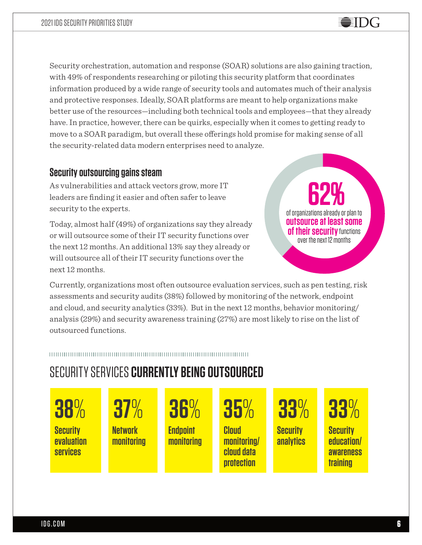Security orchestration, automation and response (SOAR) solutions are also gaining traction, with 49% of respondents researching or piloting this security platform that coordinates information produced by a wide range of security tools and automates much of their analysis and protective responses. Ideally, SOAR platforms are meant to help organizations make better use of the resources—including both technical tools and employees—that they already have. In practice, however, there can be quirks, especially when it comes to getting ready to move to a SOAR paradigm, but overall these offerings hold promise for making sense of all the security-related data modern enterprises need to analyze.

# **Security outsourcing gains steam**

As vulnerabilities and attack vectors grow, more IT leaders are finding it easier and often safer to leave security to the experts.

Today, almost half (49%) of organizations say they already or will outsource some of their IT security functions over the next 12 months. An additional 13% say they already or will outsource all of their IT security functions over the next 12 months.

of organizations already or plan to **outsource at least some of their security** functions over the next 12 months **62%**

Currently, organizations most often outsource evaluation services, such as pen testing, risk assessments and security audits (38%) followed by monitoring of the network, endpoint and cloud, and security analytics (33%). But in the next 12 months, behavior monitoring/ analysis (29%) and security awareness training (27%) are most likely to rise on the list of outsourced functions.

#### 

# SECURITY SERVICES **CURRENTLY BEING OUTSOURCED**

**Security evaluation services 38**% **Network monitoring 37**% **Endpoint monitoring 36**% **Cloud monitoring/ cloud data protection 35**% **Security analytics 33**% **Security education/ awareness training 33**%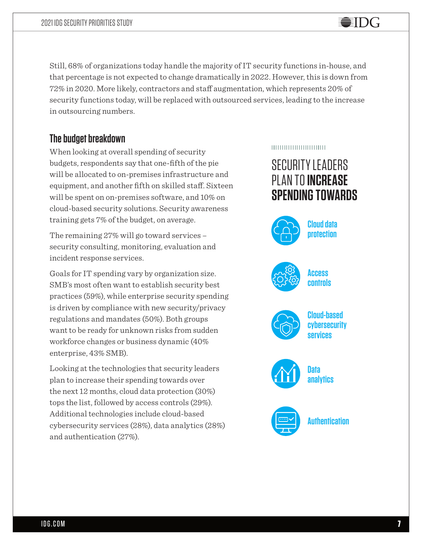Still, 68% of organizations today handle the majority of IT security functions in-house, and that percentage is not expected to change dramatically in 2022. However, this is down from 72% in 2020. More likely, contractors and staff augmentation, which represents 20% of security functions today, will be replaced with outsourced services, leading to the increase in outsourcing numbers.

# **The budget breakdown**

When looking at overall spending of security budgets, respondents say that one-fifth of the pie will be allocated to on-premises infrastructure and equipment, and another fifth on skilled staff. Sixteen will be spent on on-premises software, and 10% on cloud-based security solutions. Security awareness training gets 7% of the budget, on average.

The remaining 27% will go toward services – security consulting, monitoring, evaluation and incident response services.

Goals for IT spending vary by organization size. SMB's most often want to establish security best practices (59%), while enterprise security spending is driven by compliance with new security/privacy regulations and mandates (50%). Both groups want to be ready for unknown risks from sudden workforce changes or business dynamic (40% enterprise, 43% SMB).

Looking at the technologies that security leaders plan to increase their spending towards over the next 12 months, cloud data protection (30%) tops the list, followed by access controls (29%). Additional technologies include cloud-based cybersecurity services (28%), data analytics (28%) and authentication (27%).

#### ,,,,,,,,,,,,,,,,,,,,,,,,

# SECURITY LEADERS PLAN TO **INCREASE SPENDING TOWARDS**

EIDG



**Cloud data protection**



**Access controls**



**Cloud-based cybersecurity services**



**Data analytics** 



**Authentication**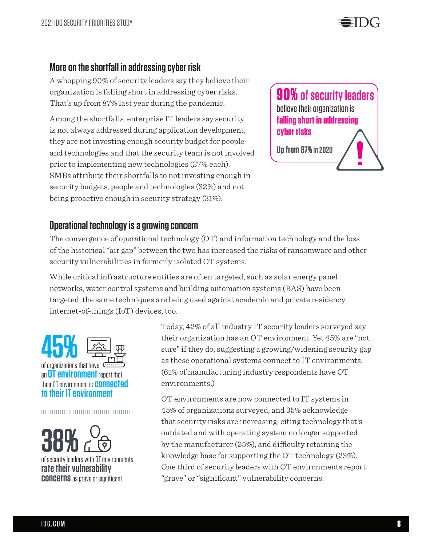# **More on the shortfall in addressing cyber risk**

A whopping 90% of security leaders say they believe their organization is falling short in addressing cyber risks. That's up from 87% last year during the pandemic.

Among the shortfalls, enterprise IT leaders say security is not always addressed during application development, they are not investing enough security budget for people and technologies and that the security team is not involved prior to implementing new technologies (27% each). SMBs attribute their shortfalls to not investing enough in security budgets, people and technologies (32%) and not being proactive enough in security strategy (31%).



## **Operational technology is a growing concern**

The convergence of operational technology (OT) and information technology and the loss of the historical "air gap" between the two has increased the risks of ransomware and other security vulnerabilities in formerly isolated OT systems.

While critical infrastructure entities are often targeted, such as solar energy panel networks, water control systems and building automation systems (BAS) have been targeted, the same techniques are being used against academic and private residency internet-of-things (IoT) devices, too.



#### 

of security leaders with OT environments **38%**

**rate their vulnerability concerns**as grave or significant Today, 42% of all industry IT security leaders surveyed say their organization has an OT environment. Yet 45% are "not sure" if they do, suggesting a growing/widening security gap as these operational systems connect to IT environments. (61% of manufacturing industry respondents have OT environments.)

OT environments are now connected to IT systems in 45% of organizations surveyed, and 35% acknowledge that security risks are increasing, citing technology that's outdated and with operating system no longer supported by the manufacturer (25%), and difficulty retaining the knowledge base for supporting the OT technology (23%). One third of security leaders with OT environments report "grave" or "significant" vulnerability concerns.